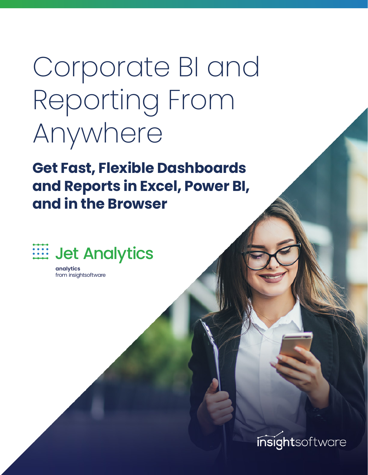# Corporate BI and Reporting From Anywhere

**Get Fast, Flexible Dashboards and Reports in Excel, Power BI, and in the Browser**



**analytics** from insightsoftware

insightsoftware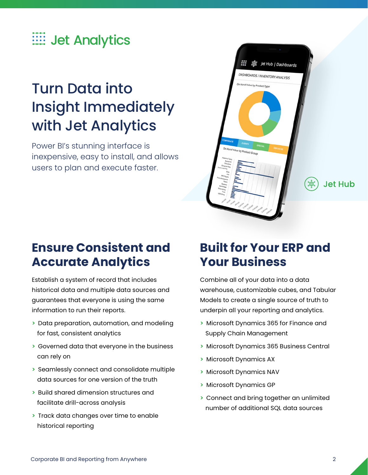

# Turn Data into Insight Immediately with Jet Analytics

Power BI's stunning interface is inexpensive, easy to install, and allows users to plan and execute faster.

## **Ensure Consistent and Accurate Analytics**

Establish a system of record that includes historical data and multiple data sources and guarantees that everyone is using the same information to run their reports.

- **>** Data preparation, automation, and modeling for fast, consistent analytics
- **>** Governed data that everyone in the business can rely on
- **>** Seamlessly connect and consolidate multiple data sources for one version of the truth
- **>** Build shared dimension structures and facilitate drill-across analysis
- **>** Track data changes over time to enable historical reporting

## **Built for Your ERP and Your Business**

舞

**Jet Hub** 

**SEE** Jet Hub | Dashboards

DASHBOARDS / INVENTORY ANALYSIS

On Hand Value by Product Type

Combine all of your data into a data warehouse, customizable cubes, and Tabular Models to create a single source of truth to underpin all your reporting and analytics.

- **>** Microsoft Dynamics 365 for Finance and Supply Chain Management
- **>** Microsoft Dynamics 365 Business Central
- **>** Microsoft Dynamics AX
- **>** Microsoft Dynamics NAV
- **>** Microsoft Dynamics GP
- **>** Connect and bring together an unlimited number of additional SQL data sources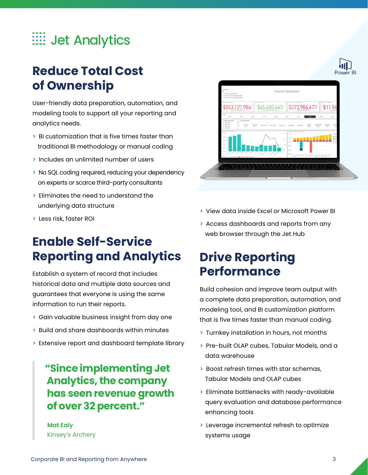

## **Reduce Total Cost of Ownership**

User-friendly data preparation, automation, and modeling tools to support all your reporting and analytics needs.

- **>** BI customization that is five times faster than traditional BI methodology or manual coding
- **>** Includes an unlimited number of users
- **>** No SQL coding required, reducing your dependency on experts or scarce third-party consultants
- **>** Eliminates the need to understand the underlying data structure
- **>** Less risk, faster ROI

## **Enable Self-Service Reporting and Analytics**

Establish a system of record that includes historical data and multiple data sources and guarantees that everyone is using the same information to run their reports.

- **>** Gain valuable business insight from day one
- **>** Build and share dashboards within minutes
- **>** Extensive report and dashboard template library

#### **"Since implementing Jet Analytics, the company has seen revenue growth of over 32 percent."**

**Mat Ealy** Kinsey's Archery



- **>** View data inside Excel or Microsoft Power BI
- **>** Access dashboards and reports from any web browser through the Jet Hub

## **Drive Reporting Performance**

Build cohesion and improve team output with a complete data preparation, automation, and modeling tool, and BI customization platform that is five times faster than manual coding.

- **>** Turnkey installation in hours, not months
- **>** Pre-built OLAP cubes, Tabular Models, and a data warehouse
- **>** Boost refresh times with star schemas, Tabular Models and OLAP cubes
- **>** Eliminate bottlenecks with ready-available query evaluation and database performance enhancing tools
- **>** Leverage incremental refresh to optimize systems usage